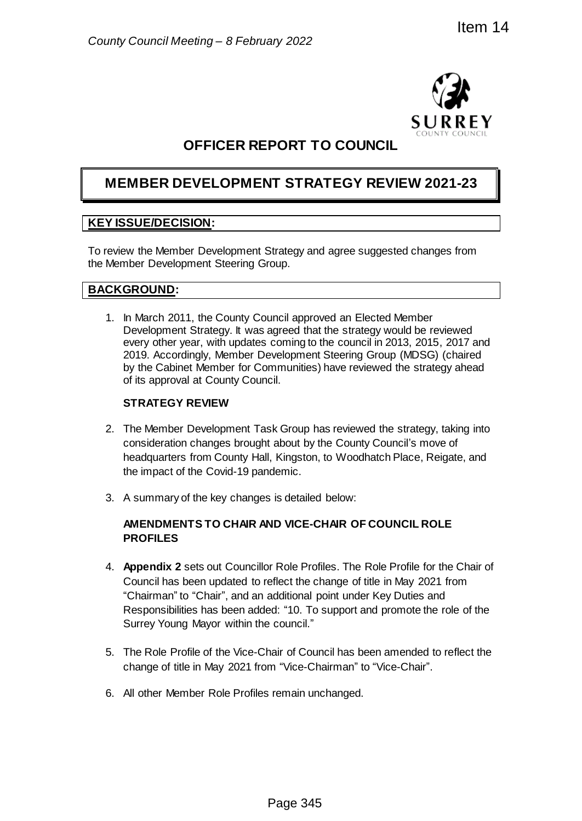

# **OFFICER REPORT TO COUNCIL**

# **MEMBER DEVELOPMENT STRATEGY REVIEW 2021-23**

## **KEY ISSUE/DECISION:**

To review the Member Development Strategy and agree suggested changes from the Member Development Steering Group.

## **BACKGROUND:**

1. In March 2011, the County Council approved an Elected Member Development Strategy. It was agreed that the strategy would be reviewed every other year, with updates coming to the council in 2013, 2015, 2017 and 2019. Accordingly, Member Development Steering Group (MDSG) (chaired by the Cabinet Member for Communities) have reviewed the strategy ahead of its approval at County Council. **EXECUTE:**<br> **EXECUTE:**<br> **EXECUTE:**<br> **EXECUTE:**<br> **EXECUTE:**<br> **EXECUTE:**<br> **EXECUTE:**<br> **EXECUTE:**<br> **EXECUTE:**<br> **EXECUTE:**<br> **EXECUTE:**<br> **EXECUTE:**<br> **EXECUTE:**<br> **EXECUTE:**<br> **EXECUTE:**<br> **EXECUTE:**<br> **EXECUTE:**<br> **EXECUTE:**<br> **EXECU** 

### **STRATEGY REVIEW**

- 2. The Member Development Task Group has reviewed the strategy, taking into consideration changes brought about by the County Council's move of headquarters from County Hall, Kingston, to Woodhatch Place, Reigate, and the impact of the Covid-19 pandemic.
- 3. A summary of the key changes is detailed below:

### **AMENDMENTS TO CHAIR AND VICE-CHAIR OF COUNCIL ROLE PROFILES**

- 4. **Appendix 2** sets out Councillor Role Profiles. The Role Profile for the Chair of Council has been updated to reflect the change of title in May 2021 from "Chairman" to "Chair", and an additional point under Key Duties and Responsibilities has been added: "10. To support and promote the role of the Surrey Young Mayor within the council."
- 5. The Role Profile of the Vice-Chair of Council has been amended to reflect the change of title in May 2021 from "Vice-Chairman" to "Vice-Chair".
- 6. All other Member Role Profiles remain unchanged.